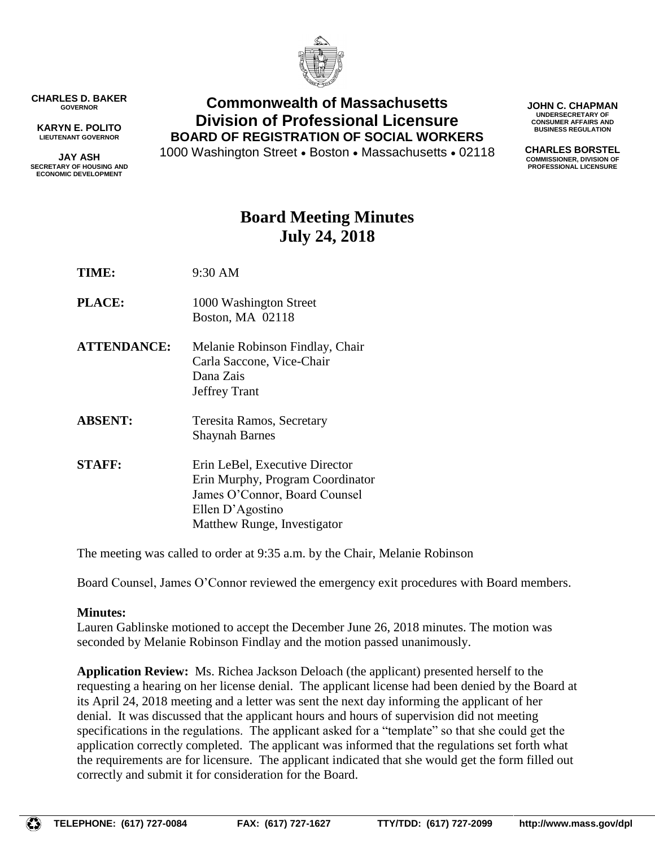

**CHARLES D. BAKER GOVERNOR**

**KARYN E. POLITO LIEUTENANT GOVERNOR**

**JAY ASH SECRETARY OF HOUSING AND ECONOMIC DEVELOPMENT**

## **Commonwealth of Massachusetts Division of Professional Licensure BOARD OF REGISTRATION OF SOCIAL WORKERS**

1000 Washington Street • Boston • Massachusetts • 02118

**JOHN C. CHAPMAN UNDERSECRETARY OF CONSUMER AFFAIRS AND BUSINESS REGULATION**

**CHARLES BORSTEL COMMISSIONER, DIVISION OF PROFESSIONAL LICENSURE**

# **Board Meeting Minutes July 24, 2018**

- **TIME:** 9:30 AM
- **PLACE:** 1000 Washington Street Boston, MA 02118
- **ATTENDANCE:** Melanie Robinson Findlay, Chair Carla Saccone, Vice-Chair Dana Zais Jeffrey Trant
- **ABSENT:** Teresita Ramos, Secretary Shaynah Barnes
- **STAFF:** Erin LeBel, Executive Director Erin Murphy, Program Coordinator James O'Connor, Board Counsel Ellen D'Agostino Matthew Runge, Investigator

The meeting was called to order at 9:35 a.m. by the Chair, Melanie Robinson

Board Counsel, James O'Connor reviewed the emergency exit procedures with Board members.

### **Minutes:**

Lauren Gablinske motioned to accept the December June 26, 2018 minutes. The motion was seconded by Melanie Robinson Findlay and the motion passed unanimously.

**Application Review:** Ms. Richea Jackson Deloach (the applicant) presented herself to the requesting a hearing on her license denial. The applicant license had been denied by the Board at its April 24, 2018 meeting and a letter was sent the next day informing the applicant of her denial. It was discussed that the applicant hours and hours of supervision did not meeting specifications in the regulations. The applicant asked for a "template" so that she could get the application correctly completed. The applicant was informed that the regulations set forth what the requirements are for licensure. The applicant indicated that she would get the form filled out correctly and submit it for consideration for the Board.